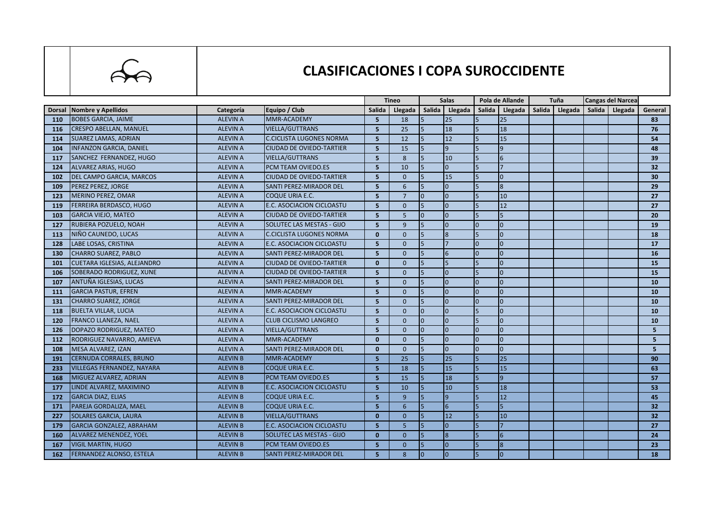

## **CLASIFICACIONES I COPA SUROCCIDENTE**

|     |                                    |                 |                                  | <b>Tineo</b>   |                 | <b>Salas</b>   |                 | Pola de Allande |                | Tuña   |         | <b>Cangas del Narcea</b> |         |                 |
|-----|------------------------------------|-----------------|----------------------------------|----------------|-----------------|----------------|-----------------|-----------------|----------------|--------|---------|--------------------------|---------|-----------------|
|     | Dorsal Nombre y Apellidos          | Categoría       | Equipo / Club                    | Salida         | Llegada         | <b>Salida</b>  | Llegada         | Salida          | Llegada        | Salida | Llegada | Salida                   | Llegada | General         |
| 110 | <b>BOBES GARCIA, JAIME</b>         | <b>ALEVIN A</b> | MMR-ACADEMY                      | 5              | 18              | $\overline{5}$ | 25              |                 | 25             |        |         |                          |         | 83              |
| 116 | <b>CRESPO ABELLAN, MANUEL</b>      | <b>ALEVIN A</b> | <b>VIELLA/GUTTRANS</b>           | 5              | 25              | 5              | 18              | 5               | 18             |        |         |                          |         | 76              |
| 114 | <b>SUAREZ LAMAS, ADRIAN</b>        | <b>ALEVIN A</b> | <b>C.CICLISTA LUGONES NORMA</b>  | 5              | 12              | 5              | 12              | 5               | 15             |        |         |                          |         | 54              |
| 104 | <b>INFANZON GARCIA, DANIEL</b>     | <b>ALEVIN A</b> | <b>CIUDAD DE OVIEDO-TARTIER</b>  | 5              | 15              |                | $\overline{9}$  |                 | 9              |        |         |                          |         | 48              |
| 117 | SANCHEZ FERNANDEZ, HUGO            | <b>ALEVIN A</b> | <b>VIELLA/GUTTRANS</b>           | 5              | 8               |                | 10              |                 | 16             |        |         |                          |         | 39              |
| 124 | <b>ALVAREZ ARIAS, HUGO</b>         | <b>ALEVIN A</b> | PCM TEAM OVIEDO.ES               | 5              | 10              | 5              | $\overline{0}$  | 5               |                |        |         |                          |         | 32              |
| 102 | <b>DEL CAMPO GARCIA, MARCOS</b>    | <b>ALEVIN A</b> | <b>CIUDAD DE OVIEDO-TARTIER</b>  | 5              | $\Omega$        |                | 15              | 5               | l0             |        |         |                          |         | 30              |
| 109 | PEREZ PEREZ, JORGE                 | <b>ALEVIN A</b> | <b>SANTI PEREZ-MIRADOR DEL</b>   | 5              | 6               |                | $\overline{0}$  | 5               | 8              |        |         |                          |         | 29              |
| 123 | <b>MERINO PEREZ, OMAR</b>          | <b>ALEVIN A</b> | <b>COQUE URIA E.C.</b>           | 5              | $\overline{7}$  | $\Omega$       | $\overline{0}$  |                 | 10             |        |         |                          |         | 27              |
| 119 | <b>FERREIRA BERDASCO, HUGO</b>     | <b>ALEVIN A</b> | <b>E.C. ASOCIACION CICLOASTU</b> | 5              | $\Omega$        | $\overline{5}$ | $\Omega$        |                 | 12             |        |         |                          |         | 27              |
| 103 | <b>GARCIA VIEJO, MATEO</b>         | <b>ALEVIN A</b> | <b>CIUDAD DE OVIEDO-TARTIER</b>  | 5              | 5 <sup>5</sup>  | $\Omega$       | $\Omega$        |                 | 5              |        |         |                          |         | 20              |
| 127 | RUBIERA POZUELO, NOAH              | <b>ALEVIN A</b> | SOLUTEC LAS MESTAS - GIJO        | 5              | 9               |                | $\overline{0}$  |                 | lo             |        |         |                          |         | 19              |
| 113 | NIÑO CAUNEDO, LUCAS                | <b>ALEVIN A</b> | <b>C.CICLISTA LUGONES NORMA</b>  | $\Omega$       | $\Omega$        |                | $\overline{8}$  |                 | lo             |        |         |                          |         | 18              |
| 128 | LABE LOSAS, CRISTINA               | <b>ALEVIN A</b> | E.C. ASOCIACION CICLOASTU        | 5              | $\Omega$        |                |                 |                 | lo             |        |         |                          |         | 17              |
| 130 | <b>CHARRO SUAREZ, PABLO</b>        | <b>ALEVIN A</b> | SANTI PEREZ-MIRADOR DEL          | 5              | $\mathbf{0}$    |                | $6\overline{6}$ |                 | l0             |        |         |                          |         | 16              |
| 101 | <b>CUETARA IGLESIAS, ALEJANDRO</b> | <b>ALEVIN A</b> | <b>CIUDAD DE OVIEDO-TARTIER</b>  | $\Omega$       | $\mathbf{0}$    |                | $\overline{5}$  |                 | lo             |        |         |                          |         | 15              |
| 106 | SOBERADO RODRIGUEZ, XUNE           | <b>ALEVIN A</b> | <b>CIUDAD DE OVIEDO-TARTIER</b>  | 5              | $\Omega$        |                | $\Omega$        |                 | lo             |        |         |                          |         | 15              |
| 107 | ANTUÑA IGLESIAS, LUCAS             | <b>ALEVIN A</b> | <b>SANTI PEREZ-MIRADOR DEL</b>   | 5              | $\mathbf{0}$    |                | $\overline{0}$  |                 | l0             |        |         |                          |         | 10              |
| 111 | <b>GARCIA PASTUR, EFREN</b>        | <b>ALEVIN A</b> | <b>MMR-ACADEMY</b>               | 5              | $\Omega$        |                | $\overline{0}$  | $\Omega$        | l0             |        |         |                          |         | 10              |
| 131 | <b>CHARRO SUAREZ, JORGE</b>        | <b>ALEVIN A</b> | SANTI PEREZ-MIRADOR DEL          | 5              | $\mathbf{0}$    |                | $\overline{0}$  | $\Omega$        | l0             |        |         |                          |         | 10              |
| 118 | <b>BUELTA VILLAR, LUCIA</b>        | <b>ALEVIN A</b> | E.C. ASOCIACION CICLOASTU        | 5              | $\Omega$        | $\Omega$       | $\overline{0}$  | 5               | l0             |        |         |                          |         | 10              |
| 120 | <b>FRANCO LLANEZA, NAEL</b>        | <b>ALEVIN A</b> | <b>CLUB CICLISMO LANGREO</b>     | 5              | $\Omega$        | $\Omega$       | $\overline{0}$  | 5               | $\overline{0}$ |        |         |                          |         | 10              |
| 126 | DOPAZO RODRIGUEZ, MATEO            | <b>ALEVIN A</b> | <b>VIELLA/GUTTRANS</b>           | 5              | $\mathbf{0}$    | I0             | $\overline{0}$  | <sup>n</sup>    | l0             |        |         |                          |         | 5               |
| 112 | RODRIGUEZ NAVARRO, AMIEVA          | <b>ALEVIN A</b> | <b>MMR-ACADEMY</b>               | $\mathbf{0}$   | $\mathbf{0}$    | 15             | $\overline{0}$  | n.              | $\overline{0}$ |        |         |                          |         | 5 <sup>1</sup>  |
| 108 | <b>MESA ALVAREZ, IZAN</b>          | <b>ALEVIN A</b> | <b>SANTI PEREZ-MIRADOR DEL</b>   | $\mathbf{0}$   | $\Omega$        |                | $\overline{0}$  |                 | $\overline{0}$ |        |         |                          |         | 5.              |
| 191 | <b>CERNUDA CORRALES, BRUNO</b>     | <b>ALEVIN B</b> | <b>MMR-ACADEMY</b>               | 5              | 25              | 5              | 25              | 5               | 25             |        |         |                          |         | 90              |
| 233 | <b>VILLEGAS FERNANDEZ, NAYARA</b>  | <b>ALEVIN B</b> | <b>COQUE URIA E.C.</b>           | 5              | 18              |                | 15              |                 | 15             |        |         |                          |         | 63              |
| 168 | MIGUEZ ALVAREZ, ADRIAN             | <b>ALEVIN B</b> | <b>PCM TEAM OVIEDO.ES</b>        | $\overline{5}$ | 15              | 5              | 18              | 5               | 9              |        |         |                          |         | 57              |
| 177 | LINDE ALVAREZ, MAXIMINO            | <b>ALEVIN B</b> | <b>E.C. ASOCIACION CICLOASTU</b> | 5              | 10              | 5              | 10              |                 | 18             |        |         |                          |         | 53              |
| 172 | <b>GARCIA DIAZ, ELIAS</b>          | <b>ALEVIN B</b> | COQUE URIA E.C.                  | 5              | $\mathbf{q}$    |                | $\overline{9}$  |                 | 12             |        |         |                          |         | 45              |
| 171 | PAREJA GORDALIZA, MAEL             | <b>ALEVIN B</b> | <b>COQUE URIA E.C.</b>           | 5              | $6\overline{6}$ |                | $6\overline{6}$ |                 |                |        |         |                          |         | 32              |
| 227 | <b>SOLARES GARCIA, LAURA</b>       | <b>ALEVIN B</b> | <b>VIELLA/GUTTRANS</b>           | $\mathbf{0}$   | $\mathbf{0}$    |                | 12              |                 | 10             |        |         |                          |         | 32 <sub>2</sub> |
| 179 | <b>GARCIA GONZALEZ, ABRAHAM</b>    | <b>ALEVIN B</b> | <b>E.C. ASOCIACION CICLOASTU</b> | 5              | 5               |                | $\overline{0}$  |                 |                |        |         |                          |         | 27              |
| 160 | <b>ALVAREZ MENENDEZ, YOEL</b>      | <b>ALEVIN B</b> | <b>SOLUTEC LAS MESTAS - GIJO</b> | $\mathbf{0}$   | $\Omega$        |                | $\overline{8}$  |                 | 6              |        |         |                          |         | 24              |
| 167 | <b>VIGIL MARTIN, HUGO</b>          | <b>ALEVIN B</b> | PCM TEAM OVIEDO.ES               | 5              | $\Omega$        |                | $\overline{0}$  | 5               | 8              |        |         |                          |         | 23              |
| 162 | <b>FERNANDEZ ALONSO, ESTELA</b>    | <b>ALEVIN B</b> | <b>SANTI PEREZ-MIRADOR DEL</b>   | 5              | 8               | I0             | $\overline{0}$  | 5               | lo             |        |         |                          |         | 18              |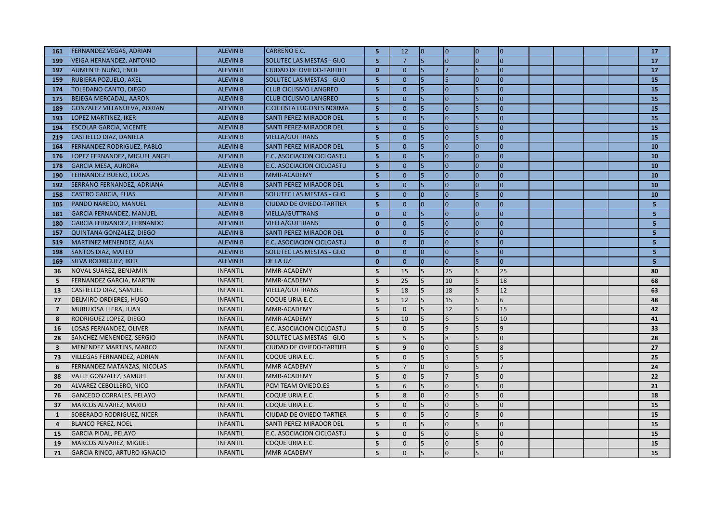| 161                     | FERNANDEZ VEGAS, ADRIAN           | <b>ALEVIN B</b> | <b>CARREÑO E.C.</b>              | -51            | 12             | lo.            | $\overline{0}$ | $\overline{0}$ | $\vert$ 0       |  |  | 17               |
|-------------------------|-----------------------------------|-----------------|----------------------------------|----------------|----------------|----------------|----------------|----------------|-----------------|--|--|------------------|
| 199                     | <b>VEIGA HERNANDEZ, ANTONIO</b>   | <b>ALEVIN B</b> | SOLUTEC LAS MESTAS - GIJO        | $\overline{5}$ | $\overline{7}$ | $\overline{5}$ | $\overline{0}$ |                | $\overline{0}$  |  |  | 17               |
| 197                     | AUMENTE NUÑO, ENOL                | <b>ALEVIN B</b> | <b>CIUDAD DE OVIEDO-TARTIER</b>  | $\mathbf{0}$   | $\mathbf{0}$   | 5              |                |                | $\Omega$        |  |  | 17               |
| 159                     | RUBIERA POZUELO, AXEL             | <b>ALEVIN B</b> | SOLUTEC LAS MESTAS - GIJO        | 5              | $\mathbf{0}$   | 5              |                | $\overline{0}$ | $\overline{0}$  |  |  | 15               |
| 174                     | <b>TOLEDANO CANTO, DIEGO</b>      | <b>ALEVIN B</b> | <b>CLUB CICLISMO LANGREO</b>     | 5              | $\mathbf{0}$   | 5              | $\mathbf{0}$   | 5              | $\overline{0}$  |  |  | 15               |
| 175                     | <b>BEJEGA MERCADAL, AARON</b>     | <b>ALEVIN B</b> | <b>CLUB CICLISMO LANGREO</b>     | 5              | $\mathbf{0}$   | 5              | $\Omega$       |                | $\overline{0}$  |  |  | 15               |
| 189                     | GONZALEZ VILLANUEVA, ADRIAN       | <b>ALEVIN B</b> | <b>C.CICLISTA LUGONES NORMA</b>  | 5              | $\mathbf{0}$   | 5              | $\Omega$       |                | $\overline{0}$  |  |  | 15               |
| 193                     | LOPEZ MARTINEZ, IKER              | <b>ALEVIN B</b> | <b>SANTI PEREZ-MIRADOR DEL</b>   | 5              | $\mathbf{0}$   | 5              | $\Omega$       |                | $\overline{0}$  |  |  | 15               |
| 194                     | <b>ESCOLAR GARCIA, VICENTE</b>    | <b>ALEVIN B</b> | <b>SANTI PEREZ-MIRADOR DEL</b>   | $\overline{5}$ | $\mathbf{0}$   | 5              | $\overline{0}$ |                | $\overline{0}$  |  |  | 15               |
| 219                     | CASTIELLO DIAZ, DANIELA           | <b>ALEVIN B</b> | <b>VIELLA/GUTTRANS</b>           | $\overline{5}$ | $\mathbf{0}$   | 5              | $\Omega$       |                | $\overline{0}$  |  |  | 15               |
| 164                     | FERNANDEZ RODRIGUEZ, PABLO        | <b>ALEVIN B</b> | <b>SANTI PEREZ-MIRADOR DEL</b>   | 5              | $\Omega$       | 5              | $\Omega$       | $\Omega$       | $\overline{0}$  |  |  | 10 <sup>10</sup> |
| 176                     | LOPEZ FERNANDEZ, MIGUEL ANGEL     | <b>ALEVIN B</b> | E.C. ASOCIACION CICLOASTU        | 5              | $\mathbf{0}$   | 15             | $\Omega$       | $\overline{0}$ | Iо              |  |  | 10               |
| 178                     | <b>GARCIA MESA, AURORA</b>        | <b>ALEVIN B</b> | E.C. ASOCIACION CICLOASTU        | 5              | $\overline{0}$ | 5              | $\Omega$       |                | $\overline{0}$  |  |  | 10               |
| 190                     | <b>FERNANDEZ BUENO, LUCAS</b>     | <b>ALEVIN B</b> | MMR-ACADEMY                      | 5              | $\mathbf{0}$   | 5              | $\Omega$       | $\overline{0}$ | $\overline{0}$  |  |  | 10               |
| 192                     | SERRANO FERNANDEZ, ADRIANA        | <b>ALEVIN B</b> | <b>SANTI PEREZ-MIRADOR DEL</b>   | 5              | $\mathbf{0}$   | 5              | $\mathbf{0}$   | $\overline{0}$ | $\overline{0}$  |  |  | 10               |
| 158                     | <b>CASTRO GARCIA, ELIAS</b>       | <b>ALEVIN B</b> | <b>SOLUTEC LAS MESTAS - GIJO</b> | 5              | $\overline{0}$ | l0             | $\Omega$       | 5              | Ιo              |  |  | 10               |
| 105                     | PANDO NAREDO, MANUEL              | <b>ALEVIN B</b> | <b>CIUDAD DE OVIEDO-TARTIER</b>  | 5              | $\mathbf{0}$   | $\overline{0}$ | $\Omega$       | $\Omega$       | $\Omega$        |  |  | 5 <sub>1</sub>   |
| 181                     | <b>GARCIA FERNANDEZ, MANUEL</b>   | <b>ALEVIN B</b> | <b>VIELLA/GUTTRANS</b>           | $\mathbf{0}$   | $\mathbf{0}$   | 5              | $\overline{0}$ | $\overline{0}$ | $\overline{0}$  |  |  | $5\phantom{.0}$  |
| 180                     | <b>GARCIA FERNANDEZ, FERNANDO</b> | <b>ALEVIN B</b> | <b>VIELLA/GUTTRANS</b>           | $\mathbf{0}$   | $\mathbf{0}$   | 15             | $\mathbf{0}$   | $\overline{0}$ | Iо              |  |  | 5 <sub>1</sub>   |
| 157                     | QUINTANA GONZALEZ, DIEGO          | <b>ALEVIN B</b> | <b>SANTI PEREZ-MIRADOR DEL</b>   | $\mathbf{0}$   | $\mathbf{0}$   | 5              | $\mathbf{0}$   |                | $\overline{0}$  |  |  | 5 <sub>o</sub>   |
| 519                     | <b>MARTINEZ MENENDEZ, ALAN</b>    | <b>ALEVIN B</b> | E.C. ASOCIACION CICLOASTU        | $\mathbf{0}$   | $\mathbf{0}$   | $\overline{0}$ | $\Omega$       |                | $\overline{0}$  |  |  | $5\phantom{.0}$  |
| 198                     | <b>SANTOS DIAZ, MATEO</b>         | <b>ALEVIN B</b> | SOLUTEC LAS MESTAS - GIJO        | $\mathbf{0}$   | $\mathbf{0}$   | l0             | $\mathbf{0}$   |                | $\overline{0}$  |  |  | 5 <sub>o</sub>   |
| 169                     | <b>SILVA RODRIGUEZ, IKER</b>      | <b>ALEVIN B</b> | <b>DE LA UZ</b>                  | $\mathbf{0}$   | $\mathbf{0}$   | lo             | $\mathbf{0}$   |                | $\overline{0}$  |  |  | 5 <sub>1</sub>   |
| 36                      | NOVAL SUAREZ, BENJAMIN            | <b>INFANTIL</b> | MMR-ACADEMY                      | 5              | 15             | $\overline{5}$ | 25             |                | 25              |  |  | 80               |
| 5                       | FERNANDEZ GARCIA, MARTIN          | <b>INFANTIL</b> | MMR-ACADEMY                      | 5              | 25             |                | 10             |                | 18              |  |  | 68               |
| 13                      | CASTIELLO DIAZ, SAMUEL            | <b>INFANTIL</b> | VIELLA/GUTTRANS                  | 5              | 18             |                | 18             |                | 12              |  |  | 63               |
| 77                      | DELMIRO ORDIERES, HUGO            | <b>INFANTIL</b> | COQUE URIA E.C.                  | 5              | 12             | <b>5</b>       | 15             |                | $6\overline{6}$ |  |  | 48               |
| $\overline{7}$          | MURUJOSA LLERA, JUAN              | <b>INFANTIL</b> | MMR-ACADEMY                      | 5              | $\mathbf{0}$   |                | 12             |                | 15              |  |  | 42               |
| 8                       | RODRIGUEZ LOPEZ, DIEGO            | <b>INFANTIL</b> | MMR-ACADEMY                      | 5              | 10             | <b>5</b>       | 6              |                | 10              |  |  | 41               |
| 16                      | LOSAS FERNANDEZ, OLIVER           | <b>INFANTIL</b> | E.C. ASOCIACION CICLOASTU        | 5              | $\mathbf{0}$   |                | $\mathsf{q}$   |                | $\overline{9}$  |  |  | 33               |
| 28                      | SANCHEZ MENENDEZ, SERGIO          | <b>INFANTIL</b> | SOLUTEC LAS MESTAS - GIJO        | 5              | 5              | 5              | 8              |                | $\overline{0}$  |  |  | 28               |
| $\overline{\mathbf{3}}$ | MENENDEZ MARTINS, MARCO           | <b>INFANTIL</b> | <b>CIUDAD DE OVIEDO-TARTIER</b>  | 5              | 9              | l0             | $\Omega$       |                | $\overline{8}$  |  |  | 27               |
| 73                      | VILLEGAS FERNANDEZ, ADRIAN        | <b>INFANTIL</b> | COQUE URIA E.C.                  | 5              | $\Omega$       | 5              |                |                | 5               |  |  | 25               |
| 6                       | FERNANDEZ MATANZAS, NICOLAS       | <b>INFANTIL</b> | MMR-ACADEMY                      | 5              | $\overline{7}$ | l <sub>0</sub> | $\Omega$       |                | $\overline{7}$  |  |  | 24               |
| 88                      | VALLE GONZALEZ, SAMUEL            | <b>INFANTIL</b> | MMR-ACADEMY                      | 5              | $\mathbf{0}$   | 5              |                |                | $\Omega$        |  |  | 22               |
| 20                      | ALVAREZ CEBOLLERO, NICO           | <b>INFANTIL</b> | PCM TEAM OVIEDO.ES               | 5              | 6              | 15             | $\Omega$       |                | $\Omega$        |  |  | 21               |
| 76                      | GANCEDO CORRALES, PELAYO          | <b>INFANTIL</b> | COQUE URIA E.C.                  | 5              | 8              | $\Omega$       | $\mathbf{0}$   |                | $\overline{0}$  |  |  | 18               |
| 37                      | MARCOS ALVAREZ, MARIO             | <b>INFANTIL</b> | COQUE URIA E.C.                  | 5              | $\mathbf{0}$   | 5              | $\mathbf{0}$   | 5              | $\overline{0}$  |  |  | 15               |
| $\mathbf{1}$            | SOBERADO RODRIGUEZ, NICER         | <b>INFANTIL</b> | <b>CIUDAD DE OVIEDO-TARTIER</b>  | 5              | $\mathbf{0}$   |                | $\Omega$       |                |                 |  |  | 15               |
| $\overline{4}$          | <b>BLANCO PEREZ, NOEL</b>         | <b>INFANTIL</b> | <b>SANTI PEREZ-MIRADOR DEL</b>   | 5              | $\mathbf{0}$   | 5              | $\Omega$       |                | $\Omega$        |  |  | 15               |
| 15                      | <b>GARCIA PIDAL, PELAYO</b>       | <b>INFANTIL</b> | E.C. ASOCIACION CICLOASTU        | 5              | $\mathbf{0}$   |                | $\Omega$       |                | $\Omega$        |  |  | 15               |
| 19                      | MARCOS ALVAREZ, MIGUEL            | <b>INFANTIL</b> | COQUE URIA E.C.                  | 5              | $\Omega$       |                | $\mathbf 0$    |                | $\overline{0}$  |  |  | 15               |
| 71                      | GARCIA RINCO, ARTURO IGNACIO      | <b>INFANTIL</b> | MMR-ACADEMY                      | 5              | $\mathbf{0}$   | 5              | $\overline{0}$ | 5              | $\overline{0}$  |  |  | 15               |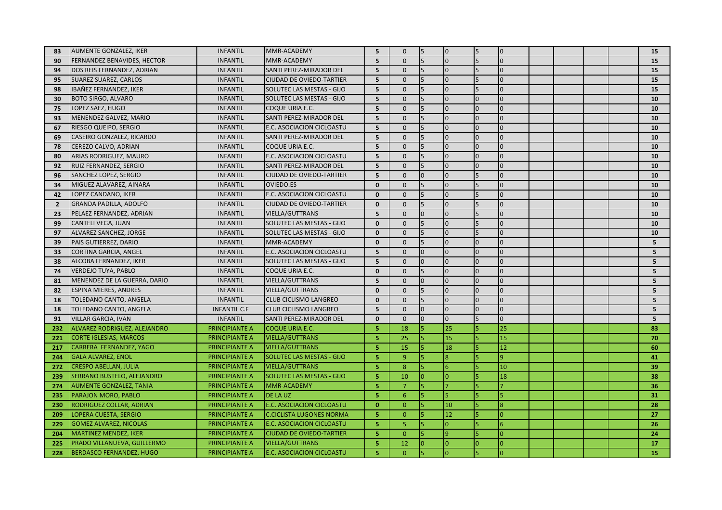| 83             | <b>AUMENTE GONZALEZ, IKER</b>   | <b>INFANTIL</b>     | MMR-ACADEMY                      | 5 <sup>5</sup> | $\mathbf 0$    | 5              | $\overline{0}$ | 5              | $\overline{0}$ |  |  | 15              |
|----------------|---------------------------------|---------------------|----------------------------------|----------------|----------------|----------------|----------------|----------------|----------------|--|--|-----------------|
| 90             | FERNANDEZ BENAVIDES, HECTOR     | <b>INFANTIL</b>     | MMR-ACADEMY                      | 5              | $\mathbf 0$    | 5              | $\overline{0}$ |                | $\overline{0}$ |  |  | 15              |
| 94             | DOS REIS FERNANDEZ, ADRIAN      | <b>INFANTIL</b>     | <b>SANTI PEREZ-MIRADOR DEL</b>   | 5              | $\mathbf{0}$   | 5              | $\Omega$       |                | $\overline{0}$ |  |  | 15              |
| 95             | <b>SUAREZ SUAREZ, CARLOS</b>    | <b>INFANTIL</b>     | <b>CIUDAD DE OVIEDO-TARTIER</b>  | 5              | $\mathbf{0}$   |                | $\overline{0}$ |                | l0             |  |  | 15              |
| 98             | IBAÑEZ FERNANDEZ, IKER          | <b>INFANTIL</b>     | <b>SOLUTEC LAS MESTAS - GIJO</b> | 5              | $\mathbf{0}$   | <b>5</b>       | $\overline{0}$ |                | $\overline{0}$ |  |  | 15              |
| 30             | <b>BOTO SIRGO, ALVARO</b>       | <b>INFANTIL</b>     | <b>SOLUTEC LAS MESTAS - GIJO</b> | 5              | $\mathbf{0}$   | $\overline{5}$ | $\Omega$       | $\Omega$       | l0             |  |  | 10              |
| 75             | LOPEZ SAEZ, HUGO                | <b>INFANTIL</b>     | COQUE URIA E.C.                  | 5              | $\mathbf{0}$   | 5              | $\Omega$       | $\Omega$       | $\overline{0}$ |  |  | 10              |
| 93             | MENENDEZ GALVEZ, MARIO          | <b>INFANTIL</b>     | <b>SANTI PEREZ-MIRADOR DEL</b>   | 5              | $\mathbf{0}$   |                | $\overline{0}$ | $\Omega$       | $\overline{0}$ |  |  | 10              |
| 67             | RIESGO QUEIPO, SERGIO           | <b>INFANTIL</b>     | E.C. ASOCIACION CICLOASTU        | 5              | $\overline{0}$ | 5              | $\overline{0}$ | $\Omega$       | $\overline{0}$ |  |  | 10              |
| 69             | CASEIRO GONZALEZ, RICARDO       | <b>INFANTIL</b>     | SANTI PEREZ-MIRADOR DEL          | 5              | $\mathbf 0$    | 5              | $\Omega$       | $\Omega$       | $\overline{0}$ |  |  | 10              |
| 78             | CEREZO CALVO, ADRIAN            | <b>INFANTIL</b>     | COQUE URIA E.C.                  | 5              | $\Omega$       | 5              | $\overline{0}$ | $\Omega$       | $\overline{0}$ |  |  | 10              |
| 80             | <b>ARIAS RODRIGUEZ, MAURO</b>   | <b>INFANTIL</b>     | E.C. ASOCIACION CICLOASTU        | 5              | $\mathbf 0$    | <b>5</b>       | $\Omega$       | $\overline{0}$ | $\overline{0}$ |  |  | 10              |
| 92             | RUIZ FERNANDEZ, SERGIO          | <b>INFANTIL</b>     | SANTI PEREZ-MIRADOR DEL          | 5              | $\mathbf{0}$   | 5              | $\overline{0}$ |                | $\overline{0}$ |  |  | 10              |
| 96             | SANCHEZ LOPEZ, SERGIO           | <b>INFANTIL</b>     | <b>CIUDAD DE OVIEDO-TARTIER</b>  | 5              | $\mathbf{0}$   | l <sub>0</sub> | $\Omega$       |                | $\overline{0}$ |  |  | 10              |
| 34             | MIGUEZ ALAVAREZ, AINARA         | <b>INFANTIL</b>     | OVIEDO.ES                        | $\mathbf{0}$   | $\mathbf{0}$   | 5              | $\overline{0}$ |                | $\overline{0}$ |  |  | 10              |
| 42             | LOPEZ CANDANO, IKER             | <b>INFANTIL</b>     | E.C. ASOCIACION CICLOASTU        | $\mathbf{0}$   | $\mathbf{0}$   | 5              | $\Omega$       |                | $\overline{0}$ |  |  | 10              |
| $\overline{2}$ | <b>GRANDA PADILLA, ADOLFO</b>   | <b>INFANTIL</b>     | <b>CIUDAD DE OVIEDO-TARTIER</b>  | $\mathbf{0}$   | $\mathbf 0$    | $\overline{5}$ | $\Omega$       |                | $\overline{0}$ |  |  | 10              |
| 23             | PELAEZ FERNANDEZ, ADRIAN        | <b>INFANTIL</b>     | <b>VIELLA/GUTTRANS</b>           | 5              | $\mathbf 0$    | $\overline{0}$ | $\overline{0}$ |                | $\overline{0}$ |  |  | 10              |
| 99             | <b>CANTELI VEGA, JUAN</b>       | <b>INFANTIL</b>     | SOLUTEC LAS MESTAS - GIJO        | $\mathbf{0}$   | $\mathbf 0$    |                | $\overline{0}$ |                | $\overline{0}$ |  |  | 10              |
| 97             | ALVAREZ SANCHEZ, JORGE          | INFANTIL            | <b>SOLUTEC LAS MESTAS - GIJO</b> | $\mathbf{0}$   | $\mathbf{0}$   | 5              | $\overline{0}$ |                | $\overline{0}$ |  |  | 10              |
| 39             | PAIS GUTIERREZ, DARIO           | <b>INFANTIL</b>     | MMR-ACADEMY                      | $\mathbf{0}$   | $\mathbf{0}$   |                | $\Omega$       |                | $\overline{0}$ |  |  | 5               |
| 33             | <b>CORTINA GARCIA, ANGEL</b>    | <b>INFANTIL</b>     | E.C. ASOCIACION CICLOASTU        | 5              | $\mathbf{0}$   | $\Omega$       | $\overline{0}$ | $\Omega$       | $\overline{0}$ |  |  | 5               |
| 38             | ALCOBA FERNANDEZ, IKER          | <b>INFANTIL</b>     | SOLUTEC LAS MESTAS - GIJO        | 5              | $\mathbf{0}$   | $\Omega$       | $\Omega$       | $\Omega$       | $\overline{0}$ |  |  | 5 <sup>1</sup>  |
| 74             | <b>VERDEJO TUYA, PABLO</b>      | <b>INFANTIL</b>     | COQUE URIA E.C.                  | $\mathbf{0}$   | $\mathbf{0}$   |                | $\overline{0}$ |                | $\overline{0}$ |  |  | 5               |
| 81             | MENENDEZ DE LA GUERRA, DARIO    | <b>INFANTIL</b>     | <b>VIELLA/GUTTRANS</b>           | 5              | $\mathbf{0}$   | $\Omega$       | $\Omega$       |                | lo             |  |  | 5               |
| 82             | <b>ESPINA MIERES, ANDRES</b>    | <b>INFANTIL</b>     | <b>VIELLA/GUTTRANS</b>           | $\Omega$       | $\mathbf{0}$   |                | $\overline{0}$ |                | $\overline{0}$ |  |  | 5               |
| 18             | TOLEDANO CANTO, ANGELA          | <b>INFANTIL</b>     | <b>CLUB CICLISMO LANGREO</b>     | $\mathbf{0}$   | $\mathbf{0}$   | <b>5</b>       | $\overline{0}$ | $\overline{0}$ | $\overline{0}$ |  |  | $5\overline{5}$ |
| 18             | TOLEDANO CANTO, ANGELA          | <b>INFANTIL C.F</b> | <b>CLUB CICLISMO LANGREO</b>     | 5              | $\mathbf{0}$   | $\Omega$       | $\overline{0}$ |                | l0             |  |  | 5               |
| 91             | <b>VILLAR GARCIA, IVAN</b>      | <b>INFANTIL</b>     | <b>SANTI PEREZ-MIRADOR DEL</b>   | $\mathbf{0}$   | $\mathbf{0}$   | $\overline{0}$ | $\overline{0}$ |                | $\overline{0}$ |  |  | 5               |
| 232            | ALVAREZ RODRIGUEZ, ALEJANDRO    | PRINCIPIANTE A      | COQUE URIA E.C.                  | 5              | 18             |                | 25             |                | 25             |  |  | 83              |
| 221            | <b>CORTE IGLESIAS, MARCOS</b>   | PRINCIPIANTE A      | <b>VIELLA/GUTTRANS</b>           | 5              | 25             | 5              | 15             |                | 15             |  |  | 70              |
| 217            | CARRERA FERNANDEZ, YAGO         | PRINCIPIANTE A      | <b>VIELLA/GUTTRANS</b>           | 5              | 15             |                | 18             |                | 12             |  |  | 60              |
| 244            | <b>GALA ALVAREZ, ENOL</b>       | PRINCIPIANTE A      | <b>SOLUTEC LAS MESTAS - GIJO</b> | 5              | $\overline{9}$ | 5              | $\overline{8}$ |                | 9              |  |  | 41              |
| 272            | <b>CRESPO ABELLAN, JULIA</b>    | PRINCIPIANTE A      | <b>VIELLA/GUTTRANS</b>           | 5              | 8              |                | 6              |                | 10             |  |  | 39              |
| 239            | SERRANO BUSTELO, ALEJANDRO      | PRINCIPIANTE A      | <b>SOLUTEC LAS MESTAS - GIJO</b> | 5              | 10             |                | ١o             |                | 18             |  |  | 38              |
| 274            | <b>AUMENTE GONZALEZ, TANIA</b>  | PRINCIPIANTE A      | <b>MMR-ACADEMY</b>               | 5              | $\overline{7}$ |                |                |                |                |  |  | 36              |
| 235            | PARAJON MORO, PABLO             | PRINCIPIANTE A      | <b>DE LA UZ</b>                  | 5              | 6              |                | 5              |                | 5              |  |  | 31              |
| 230            | RODRIGUEZ COLLAR, ADRIAN        | PRINCIPIANTE A      | <b>E.C. ASOCIACION CICLOASTU</b> | $\mathbf{0}$   | $\mathbf{0}$   | 15             | 10             |                | 8              |  |  | 28              |
| 209            | LOPERA CUESTA, SERGIO           | PRINCIPIANTE A      | <b>C.CICLISTA LUGONES NORMA</b>  | 5              | $\mathbf{0}$   | 15             | 12             |                | lo             |  |  | 27              |
| 229            | <b>GOMEZ ALVAREZ, NICOLAS</b>   | PRINCIPIANTE A      | <b>E.C. ASOCIACION CICLOASTU</b> | 5              | 5              | 15             | $\overline{0}$ |                | 6              |  |  | 26              |
| 204            | <b>MARTINEZ MENDEZ, IKER</b>    | PRINCIPIANTE A      | <b>CIUDAD DE OVIEDO-TARTIER</b>  | 5              | $\mathbf{0}$   |                | $\overline{9}$ |                | l0             |  |  | 24              |
| 225            | PRADO VILLANUEVA, GUILLERMO     | PRINCIPIANTE A      | <b>VIELLA/GUTTRANS</b>           | 5              | 12             |                | $\overline{0}$ | O              | lo             |  |  | 17              |
| 228            | <b>BERDASCO FERNANDEZ, HUGO</b> | PRINCIPIANTE A      | <b>E.C. ASOCIACION CICLOASTU</b> | 5              | $\overline{0}$ | 5              | $\overline{0}$ |                | Iо             |  |  | 15              |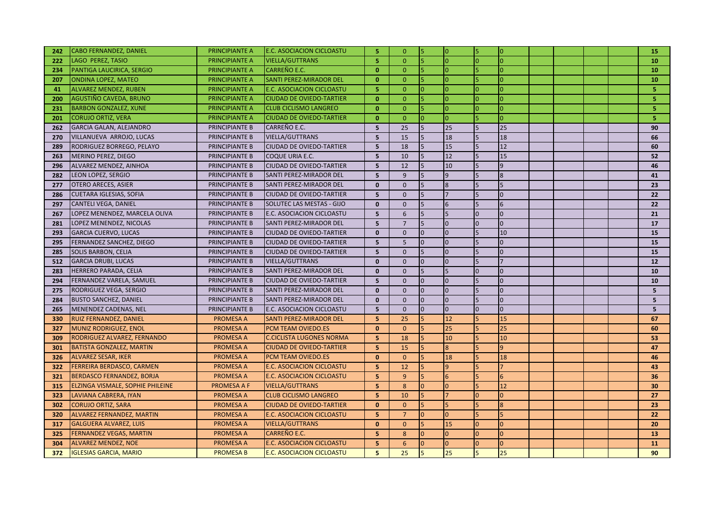| 242 | <b>CABO FERNANDEZ, DANIEL</b>    | PRINCIPIANTE A     | <b>E.C. ASOCIACION CICLOASTU</b> | 5              | $\Omega$        | 5               | $\overline{0}$ | l5             | Iо              |  |  | 15             |
|-----|----------------------------------|--------------------|----------------------------------|----------------|-----------------|-----------------|----------------|----------------|-----------------|--|--|----------------|
| 222 | <b>LAGO PEREZ, TASIO</b>         | PRINCIPIANTE A     | <b>VIELLA/GUTTRANS</b>           | 5              | $\overline{0}$  | $\overline{5}$  | $\overline{0}$ |                | l0              |  |  | 10             |
| 234 | PANTIGA LAUCIRICA, SERGIO        | PRINCIPIANTE A     | <b>CARREÑO E.C.</b>              | $\mathbf{0}$   | $\mathbf{0}$    | 15              | $\overline{0}$ | 5              | lo              |  |  | 10             |
| 207 | <b>ONDINA LOPEZ, MATEO</b>       | PRINCIPIANTE A     | <b>SANTI PEREZ-MIRADOR DEL</b>   | $\mathbf{0}$   | $\mathbf{0}$    | 5               | $\overline{0}$ |                | Iо              |  |  | 10             |
| 41  | <b>ALVAREZ MENDEZ, RUBEN</b>     | PRINCIPIANTE A     | <b>E.C. ASOCIACION CICLOASTU</b> | 5              | $\mathbf{0}$    | 0               | $\overline{0}$ | $\Omega$       | $\overline{0}$  |  |  | 5              |
| 200 | AGUSTIÑO CAVEDA, BRUNO           | PRINCIPIANTE A     | <b>CIUDAD DE OVIEDO-TARTIER</b>  | $\Omega$       | $\mathbf{0}$    |                 | $\overline{0}$ |                | l0              |  |  | 5              |
| 231 | <b>BARBON GONZALEZ, XUNE</b>     | PRINCIPIANTE A     | <b>CLUB CICLISMO LANGREO</b>     | $\mathbf{0}$   | $\mathbf{0}$    | 5               | $\overline{0}$ | $\overline{0}$ | $\overline{0}$  |  |  | 5              |
| 201 | <b>CORUJO ORTIZ, VERA</b>        | PRINCIPIANTE A     | <b>CIUDAD DE OVIEDO-TARTIER</b>  | $\mathbf{0}$   | $\mathbf{0}$    | lo              | $\overline{0}$ |                | $\overline{0}$  |  |  | 5.             |
| 262 | <b>GARCIA GALAN, ALEJANDRO</b>   | PRINCIPIANTE B     | CARREÑO E.C.                     | 5              | 25              | 5               | 25             | 5              | 25              |  |  | 90             |
| 270 | VILLANUEVA ARROJO, LUCAS         | PRINCIPIANTE B     | <b>VIELLA/GUTTRANS</b>           | $5\phantom{1}$ | 15              | 5               | 18             |                | 18              |  |  | 66             |
| 289 | RODRIGUEZ BORREGO, PELAYO        | PRINCIPIANTE B     | <b>CIUDAD DE OVIEDO-TARTIER</b>  | 5              | 18              | 5               | 15             |                | 12              |  |  | 60             |
| 263 | MERINO PEREZ, DIEGO              | PRINCIPIANTE B     | COQUE URIA E.C.                  | $5\phantom{1}$ | 10              | $\overline{5}$  | 12             |                | 15              |  |  | 52             |
| 296 | ALVAREZ MENDEZ, AINHOA           | PRINCIPIANTE B     | <b>CIUDAD DE OVIEDO-TARTIER</b>  | 5              | 12              |                 | 10             |                | $\overline{9}$  |  |  | 46             |
| 282 | LEON LOPEZ, SERGIO               | PRINCIPIANTE B     | <b>SANTI PEREZ-MIRADOR DEL</b>   | 5              | 9               | 5               | $\overline{9}$ |                | $\overline{8}$  |  |  | 41             |
| 277 | <b>OTERO ARECES, ASIER</b>       | PRINCIPIANTE B     | <b>SANTI PEREZ-MIRADOR DEL</b>   | $\mathbf{0}$   | $\mathbf{0}$    | 5               | $\overline{8}$ |                | 5               |  |  | 23             |
| 286 | <b>CUETARA IGLESIAS, SOFIA</b>   | PRINCIPIANTE B     | <b>CIUDAD DE OVIEDO-TARTIER</b>  | 5              | $\mathbf{0}$    | 5               | $\overline{7}$ |                | $\overline{0}$  |  |  | 22             |
| 297 | <b>CANTELI VEGA, DANIEL</b>      | PRINCIPIANTE B     | <b>SOLUTEC LAS MESTAS - GIJO</b> | $\mathbf{0}$   | $\overline{0}$  | 5               | 6              |                | $6\overline{6}$ |  |  | 22             |
| 267 | LOPEZ MENENDEZ, MARCELA OLIVA    | PRINCIPIANTE B     | <b>E.C. ASOCIACION CICLOASTU</b> | 5              | 6               | 5               | 5              | $\Omega$       | $\overline{0}$  |  |  | 21             |
| 281 | LOPEZ MENENDEZ, NICOLAS          | PRINCIPIANTE B     | <b>SANTI PEREZ-MIRADOR DEL</b>   | 5              | $\overline{7}$  | 5               | $\Omega$       | $\overline{0}$ | $\overline{0}$  |  |  | 17             |
| 293 | <b>GARCIA CUERVO, LUCAS</b>      | PRINCIPIANTE B     | <b>CIUDAD DE OVIEDO-TARTIER</b>  | $\mathbf{0}$   | $\overline{0}$  | $\overline{0}$  | $\overline{0}$ |                | 10              |  |  | 15             |
| 295 | FERNANDEZ SANCHEZ, DIEGO         | PRINCIPIANTE B     | <b>CIUDAD DE OVIEDO-TARTIER</b>  | 5              | 5               | $\overline{0}$  | $\Omega$       |                | $\overline{0}$  |  |  | 15             |
| 285 | <b>SOLIS BARBON, CELIA</b>       | PRINCIPIANTE B     | <b>CIUDAD DE OVIEDO-TARTIER</b>  | 5              | $\mathbf 0$     | 5               | $\overline{0}$ |                | $\overline{0}$  |  |  | 15             |
| 512 | <b>GARCIA DRUBI, LUCAS</b>       | PRINCIPIANTE B     | <b>VIELLA/GUTTRANS</b>           | $\mathbf{0}$   | $\mathbf{0}$    | $\overline{0}$  | $\overline{0}$ | 5              | 17              |  |  | 12             |
| 283 | <b>HERRERO PARADA, CELIA</b>     | PRINCIPIANTE B     | <b>SANTI PEREZ-MIRADOR DEL</b>   | $\mathbf{0}$   | $\mathbf{0}$    | 5               | 5              |                | $\overline{0}$  |  |  | 10             |
| 294 | FERNANDEZ VARELA, SAMUEL         | PRINCIPIANTE B     | <b>CIUDAD DE OVIEDO-TARTIER</b>  | 5              | $\mathbf{0}$    | $\overline{0}$  | $\Omega$       |                | $\overline{0}$  |  |  | 10             |
| 275 | RODRIGUEZ VEGA, SERGIO           | PRINCIPIANTE B     | <b>SANTI PEREZ-MIRADOR DEL</b>   | $\mathbf{0}$   | $\overline{0}$  | $\Omega$        | $\overline{0}$ |                | $\overline{0}$  |  |  | 5              |
| 284 | <b>BUSTO SANCHEZ, DANIEL</b>     | PRINCIPIANTE B     | <b>SANTI PEREZ-MIRADOR DEL</b>   | $\mathbf{0}$   | $\mathbf{0}$    | $\overline{0}$  | $\overline{0}$ |                | $\overline{0}$  |  |  | 5 <sup>1</sup> |
| 265 | MENENDEZ CADENAS, NEL            | PRINCIPIANTE B     | <b>E.C. ASOCIACION CICLOASTU</b> | 5              | $\mathbf{0}$    | $\overline{0}$  | $\overline{0}$ | $\Omega$       | $\overline{0}$  |  |  | 5              |
| 330 | RUIZ FERNANDEZ, DANIEL           | <b>PROMESA A</b>   | <b>SANTI PEREZ-MIRADOR DEL</b>   | 5              | 25              |                 | 12             |                | 15              |  |  | 67             |
| 327 | <b>MUNIZ RODRIGUEZ, ENOL</b>     | <b>PROMESA A</b>   | <b>PCM TEAM OVIEDO.ES</b>        | $\mathbf{0}$   | $\mathbf{0}$    |                 | 25             |                | 25              |  |  | 60             |
| 309 | RODRIGUEZ ALVAREZ, FERNANDO      | <b>PROMESA A</b>   | <b>C.CICLISTA LUGONES NORMA</b>  | 5              | 18              | $5\overline{5}$ | 10             |                | 10              |  |  | 53             |
| 301 | <b>BATISTA GONZALEZ, MARTIN</b>  | <b>PROMESA A</b>   | <b>CIUDAD DE OVIEDO-TARTIER</b>  | $\overline{5}$ | 15              |                 | $\overline{8}$ |                | 9               |  |  | 47             |
| 326 | <b>ALVAREZ SESAR, IKER</b>       | <b>PROMESA A</b>   | PCM TEAM OVIEDO.ES               | $\mathbf{0}$   | $\mathbf{0}$    |                 | 18             |                | 18              |  |  | 46             |
| 322 | FERREIRA BERDASCO, CARMEN        | <b>PROMESA A</b>   | <b>E.C. ASOCIACION CICLOASTU</b> | 5              | 12              | 5               | $\overline{9}$ |                | 17              |  |  | 43             |
| 321 | <b>BERDASCO FERNANDEZ, BORJA</b> | <b>PROMESA A</b>   | <b>E.C. ASOCIACION CICLOASTU</b> | 5              | 9               |                 | 6              |                | 6               |  |  | 36             |
| 315 | ELZINGA VISMALE, SOPHIE PHILEINE | <b>PROMESA A F</b> | <b>VIELLA/GUTTRANS</b>           | 5              | 8               | $\Omega$        | $\overline{0}$ |                | 12              |  |  | 30             |
| 323 | LAVIANA CABRERA, IYAN            | <b>PROMESA A</b>   | <b>CLUB CICLISMO LANGREO</b>     | 5              | 10              |                 |                | $\Omega$       | $\overline{0}$  |  |  | 27             |
| 302 | <b>CORUJO ORTIZ, SARA</b>        | <b>PROMESA A</b>   | <b>CIUDAD DE OVIEDO-TARTIER</b>  | $\mathbf{0}$   | $\mathbf{0}$    |                 | 5              |                | 8               |  |  | 23             |
| 320 | ALVAREZ FERNANDEZ, MARTIN        | <b>PROMESA A</b>   | <b>E.C. ASOCIACION CICLOASTU</b> | 5              | $7\overline{ }$ |                 | $\overline{0}$ |                |                 |  |  | 22             |
| 317 | <b>GALGUERA ALVAREZ, LUIS</b>    | <b>PROMESA A</b>   | <b>VIELLA/GUTTRANS</b>           | $\mathbf{0}$   | $\mathbf{0}$    | $\overline{5}$  | 15             | $\Omega$       | lo              |  |  | 20             |
| 325 | <b>FERNANDEZ VEGAS, MARTIN</b>   | PROMESA A          | <b>CARREÑO E.C.</b>              | 5              | 8               | $\Omega$        | $\overline{0}$ | $\overline{0}$ | l0              |  |  | 13             |
| 304 | <b>ALVAREZ MENDEZ, NOE</b>       | <b>PROMESA A</b>   | <b>E.C. ASOCIACION CICLOASTU</b> | 5              | 6               |                 | $\overline{0}$ |                | $\overline{0}$  |  |  | 11             |
| 372 | <b>IGLESIAS GARCIA, MARIO</b>    | <b>PROMESA B</b>   | <b>E.C. ASOCIACION CICLOASTU</b> | 5              | 25              | 5               | 25             | 5              | 25              |  |  | 90             |